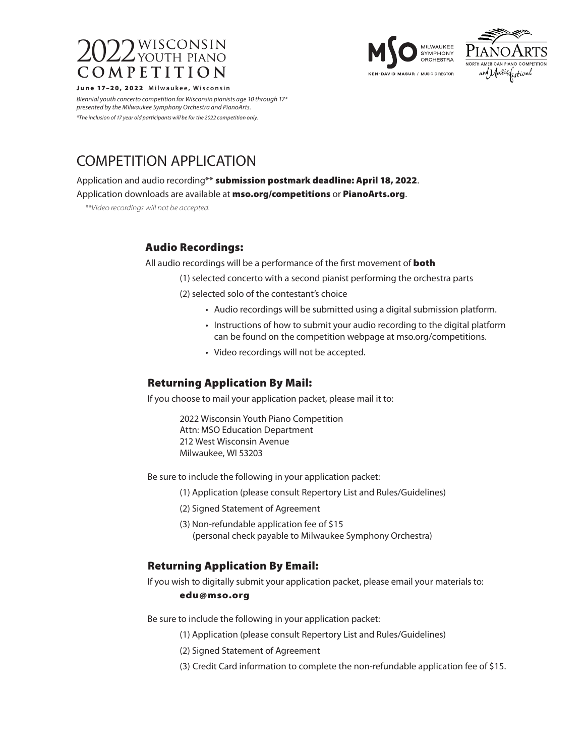





e 17–20, 2022 Milwaukee, Wisconsin

*Biennial youth concerto competition for Wisconsin pianists age 10 through 17\* presented by the Milwaukee Symphony Orchestra and PianoArts. \*The inclusion of 17 year old participants will be for the 2022 competition only.*

# COMPETITION APPLICATION

Application and audio recording\*\* submission postmark deadline: April 18, 2022.

Application downloads are available at mso.org/competitions or PianoArts.org.

*\*\*Video recordings will not be accepted.*

## Audio Recordings:

All audio recordings will be a performance of the first movement of **both** 

(1) selected concerto with a second pianist performing the orchestra parts

(2) selected solo of the contestant's choice

- Audio recordings will be submitted using a digital submission platform.
- Instructions of how to submit your audio recording to the digital platform can be found on the competition webpage at mso.org/competitions.
- Video recordings will not be accepted.

## Returning Application By Mail:

If you choose to mail your application packet, please mail it to:

2022 Wisconsin Youth Piano Competition Attn: MSO Education Department 212 West Wisconsin Avenue Milwaukee, WI 53203

Be sure to include the following in your application packet:

- (1) Application (please consult Repertory List and Rules/Guidelines)
- (2) Signed Statement of Agreement
- (3) Non-refundable application fee of \$15 (personal check payable to Milwaukee Symphony Orchestra)

## Returning Application By Email:

If you wish to digitally submit your application packet, please email your materials to:

#### edu@mso.org

Be sure to include the following in your application packet:

- (1) Application (please consult Repertory List and Rules/Guidelines)
- (2) Signed Statement of Agreement
- (3) Credit Card information to complete the non-refundable application fee of \$15.